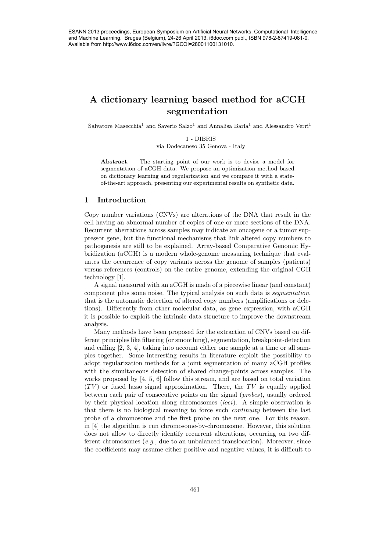# A dictionary learning based method for aCGH segmentation

Salvatore Masecchia<sup>1</sup> and Saverio Salzo<sup>1</sup> and Annalisa Barla<sup>1</sup> and Alessandro Verri<sup>1</sup>

1 - DIBRIS

via Dodecaneso 35 Genova - Italy

Abstract. The starting point of our work is to devise a model for segmentation of aCGH data. We propose an optimization method based on dictionary learning and regularization and we compare it with a stateof-the-art approach, presenting our experimental results on synthetic data.

## 1 Introduction

Copy number variations (CNVs) are alterations of the DNA that result in the cell having an abnormal number of copies of one or more sections of the DNA. Recurrent aberrations across samples may indicate an oncogene or a tumor suppressor gene, but the functional mechanisms that link altered copy numbers to pathogenesis are still to be explained. Array-based Comparative Genomic Hybridization (aCGH) is a modern whole-genome measuring technique that evaluates the occurrence of copy variants across the genome of samples (patients) versus references (controls) on the entire genome, extending the original CGH technology [1].

A signal measured with an aCGH is made of a piecewise linear (and constant) component plus some noise. The typical analysis on such data is segmentation, that is the automatic detection of altered copy numbers (amplifications or deletions). Differently from other molecular data, as gene expression, with aCGH it is possible to exploit the intrinsic data structure to improve the downstream analysis.

Many methods have been proposed for the extraction of CNVs based on different principles like filtering (or smoothing), segmentation, breakpoint-detection and calling [2, 3, 4], taking into account either one sample at a time or all samples together. Some interesting results in literature exploit the possibility to adopt regularization methods for a joint segmentation of many aCGH profiles with the simultaneous detection of shared change-points across samples. The works proposed by [4, 5, 6] follow this stream, and are based on total variation  $(TV)$  or fused lasso signal approximation. There, the TV is equally applied between each pair of consecutive points on the signal (probes ), usually ordered by their physical location along chromosomes (loci). A simple observation is that there is no biological meaning to force such continuity between the last probe of a chromosome and the first probe on the next one. For this reason, in [4] the algorithm is run chromosome-by-chromosome. However, this solution does not allow to directly identify recurrent alterations, occurring on two different chromosomes (e.g., due to an unbalanced translocation). Moreover, since the coefficients may assume either positive and negative values, it is difficult to 461 ESANN 2013 proceedings, European Symposium on Artificial Neural Networks, Computational Intelligence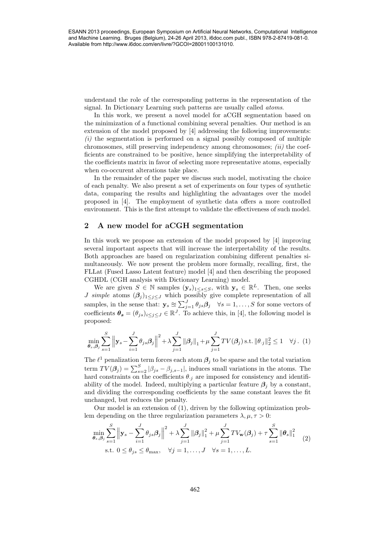understand the role of the corresponding patterns in the representation of the signal. In Dictionary Learning such patterns are usually called atoms.

In this work, we present a novel model for aCGH segmentation based on the minimization of a functional combining several penalties. Our method is an extension of the model proposed by [4] addressing the following improvements:  $(i)$  the segmentation is performed on a signal possibly composed of multiple chromosomes, still preserving independency among chromosomes;  $(ii)$  the coefficients are constrained to be positive, hence simplifying the interpretability of the coefficients matrix in favor of selecting more representative atoms, especially when co-occurent alterations take place. 2628 ESAN 2013 proceedings, European Symposium on Artificial Neural Neural Networks, Computational Intelligence<br>
3642 ESAN 2013 proceeding particular in the representation of the signal neural Neural Networks computationa

In the remainder of the paper we discuss such model, motivating the choice of each penalty. We also present a set of experiments on four types of synthetic data, comparing the results and highlighting the advantages over the model proposed in [4]. The employment of synthetic data offers a more controlled environment. This is the first attempt to validate the effectiveness of such model.

# 2 A new model for aCGH segmentation

In this work we propose an extension of the model proposed by [4] improving several important aspects that will increase the interpretability of the results. Both approaches are based on regularization combining different penalties simultaneously. We now present the problem more formally, recalling, first, the FLLat (Fused Lasso Latent feature) model [4] and then describing the proposed CGHDL (CGH analysis with Dictionary Learning) model.

We are given  $S \in \mathbb{N}$  samples  $(\mathbf{y}_s)_{1 \leq s \leq S}$ , with  $\mathbf{y}_s \in \mathbb{R}^L$ . Then, one seeks *J* simple atoms  $(\beta_j)_{1\leq j\leq J}$  which possibly give complete representation of all samples, in the sense that:  $\mathbf{y}_s \approx \sum_{j=1}^J \theta_{js} \beta_j \quad \forall s = 1, \ldots, S$  for some vectors of coefficients  $\theta_s = (\theta_{js})_{i \leq j \leq J} \in \mathbb{R}^J$ . To achieve this, in [4], the following model is proposed:

$$
\min_{\theta_s, \theta_j} \sum_{s=1}^S \left\| \mathbf{y}_s - \sum_{i=1}^J \theta_{js} \beta_j \right\|^2 + \lambda \sum_{j=1}^J \|\beta_j\|_1 + \mu \sum_{j=1}^J TV(\beta_j) \text{ s.t. } \|\theta_{\cdot j}\|_2^2 \le 1 \quad \forall j. \tag{1}
$$

The  $\ell^1$  penalization term forces each atom  $\beta_j$  to be sparse and the total variation term  $TV(\beta_j) = \sum_{s=2}^{S} |\beta_{js} - \beta_{j,s-1}|$ , induces small variations in the atoms. The hard constraints on the coefficients  $\theta_{.j}$  are imposed for consistency and identifiability of the model. Indeed, multiplying a particular feature  $\beta_j$  by a constant, and dividing the corresponding coefficients by the same constant leaves the fit unchanged, but reduces the penalty.

Our model is an extension of (1), driven by the following optimization problem depending on the three regularization parameters  $\lambda, \mu, \tau > 0$ :

$$
\min_{\theta_s, \beta_j} \sum_{s=1}^S \left\| \mathbf{y}_s - \sum_{i=1}^J \theta_{js} \beta_j \right\|^2 + \lambda \sum_{j=1}^J \left\| \beta_j \right\|_1^2 + \mu \sum_{j=1}^J TV_{\mathbf{w}}(\beta_j) + \tau \sum_{s=1}^S \left\| \theta_s \right\|_1^2
$$
\n
$$
\text{s.t. } 0 \le \theta_{js} \le \theta_{\text{max}}, \quad \forall j = 1, \dots, J \quad \forall s = 1, \dots, L. \tag{2}
$$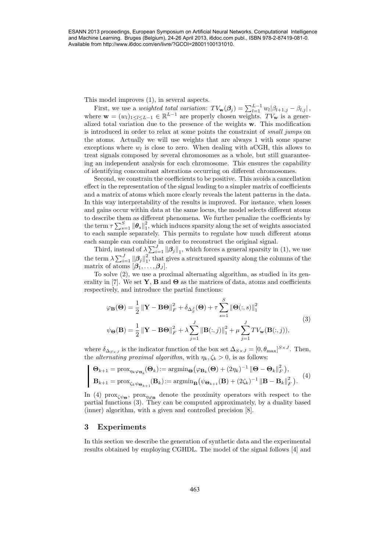This model improves (1), in several aspects.

First, we use a *weighted total variation*:  $TV_{\mathbf{w}}(\mathbf{\beta}_j) = \sum_{l=1}^{L-1} w_l |\beta_{l+1,j} - \beta_{l,j}|$ , where  $\mathbf{w} = (w_l)_{1 \leq l \leq L-1} \in \mathbb{R}^{L-1}$  are properly chosen weights.  $TV_{\mathbf{w}}$  is a generalized total variation due to the presence of the weights w. This modification is introduced in order to relax at some points the constraint of *small jumps* on the atoms. Actually we will use weights that are always 1 with some sparse exceptions where  $w_l$  is close to zero. When dealing with aCGH, this allows to treat signals composed by several chromosomes as a whole, but still guaranteeing an independent analysis for each chromosome. This ensures the capability of identifying concomitant alterations occurring on different chromosomes.

Second, we constrain the coefficients to be positive. This avoids a cancellation effect in the representation of the signal leading to a simpler matrix of coefficients and a matrix of atoms which more clearly reveals the latent patterns in the data. In this way interpretability of the results is improved. For instance, when losses and gains occur within data at the same locus, the model selects different atoms to describe them as different phenomena. We further penalize the coefficients by the term  $\tau \sum_{s=1}^{S} \|\boldsymbol{\theta}_s\|_1^2$ , which induces sparsity along the set of weights associated to each sample separately. This permits to regulate how much different atoms each sample can combine in order to reconstruct the original signal. 463 ESANN 2013 proceedings, European Symposium on Artificial Neural Networks, Computational Intelligence

Third, instead of  $\lambda \sum_{i=1}^{J} ||\beta_j||_1$ , which forces a general sparsity in (1), we use the term  $\lambda \sum_{i=1}^J \|\boldsymbol{\beta}_j\|_1^2$  $\frac{2}{1}$ , that gives a structured sparsity along the columns of the matrix of atoms  $[\beta_1, \ldots, \beta_J]$ .

To solve (2), we use a proximal alternating algorithm, as studied in its generality in [7]. We set **Y**, **B** and  $\Theta$  as the matrices of data, atoms and coefficients respectively, and introduce the partial functions:

$$
\varphi_{\mathbf{B}}(\mathbf{\Theta}) = \frac{1}{2} \left\| \mathbf{Y} - \mathbf{B} \mathbf{\Theta} \right\|_{F}^{2} + \delta_{\Delta_{S}^{J}}(\mathbf{\Theta}) + \tau \sum_{s=1}^{S} \left\| \mathbf{\Theta}(:,s) \right\|_{1}^{2}
$$
  

$$
\psi_{\mathbf{\Theta}}(\mathbf{B}) = \frac{1}{2} \left\| \mathbf{Y} - \mathbf{B} \mathbf{\Theta} \right\|_{F}^{2} + \lambda \sum_{j=1}^{J} \left\| \mathbf{B}(:,j) \right\|_{1}^{2} + \mu \sum_{j=1}^{J} TV_{\mathbf{w}}(\mathbf{B}(:,j)),
$$
\n(3)

where  $\delta_{\Delta_{S\times J}}$  is the indicator function of the box set  $\Delta_{S\times J} = [0, \theta_{\text{max}}]^{S\times J}$ . Then, the *alternating proximal algorithm*, with  $\eta_k, \zeta_k > 0$ , is as follows:

$$
\mathbf{\Theta}_{k+1} = \text{prox}_{\eta_k \varphi_{\mathbf{B}_k}}(\mathbf{\Theta}_k) := \text{argmin}_{\mathbf{\Theta}} \left( \varphi_{\mathbf{B}_k}(\mathbf{\Theta}) + (2\eta_k)^{-1} \left\| \mathbf{\Theta} - \mathbf{\Theta}_k \right\|_F^2 \right),
$$
  

$$
\mathbf{B}_{k+1} = \text{prox}_{\zeta_k \psi_{\mathbf{\Theta}_{k+1}}}(\mathbf{B}_k) := \text{argmin}_{\mathbf{B}} \left( \psi_{\mathbf{\Theta}_{k+1}}(\mathbf{B}) + (2\zeta_k)^{-1} \left\| \mathbf{B} - \mathbf{B}_k \right\|_F^2 \right).
$$
 (4)

In (4)  $\text{prox}_{\zeta\psi_{\Theta}}$ ,  $\text{prox}_{\eta\varphi_{\mathbf{B}}}$  denote the proximity operators with respect to the partial functions (3). They can be computed approximately, by a duality based (inner) algorithm, with a given and controlled precision [8].

# 3 Experiments

In this section we describe the generation of synthetic data and the experimental results obtained by employing CGHDL. The model of the signal follows [4] and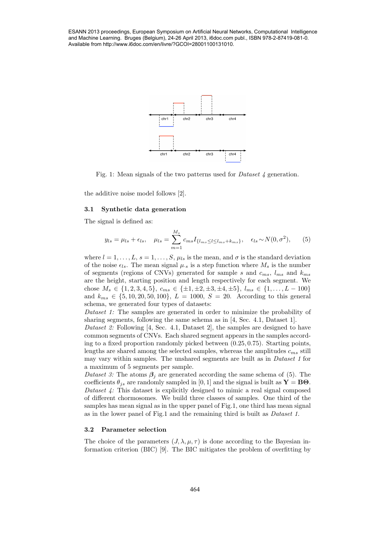and Machine Learning. Bruges (Belgium), 24-26 April 2013, i6doc.com publ., ISBN 978-2-87419-081-0. Available from http://www.i6doc.com/en/livre/?GCOI=28001100131010.



Fig. 1: Mean signals of the two patterns used for Dataset 4 generation.

the additive noise model follows [2].

#### 3.1 Synthetic data generation

The signal is defined as:

$$
y_{ls} = \mu_{ls} + \epsilon_{ls}, \quad \mu_{ls} = \sum_{m=1}^{M_s} c_{ms} I_{\{l_{ms} \le l \le l_{ms} + k_{ms}\}}, \quad \epsilon_{ls} \sim N(0, \sigma^2), \tag{5}
$$

where  $l = 1, \ldots, L$ ,  $s = 1, \ldots, S$ ,  $\mu_{ls}$  is the mean, and  $\sigma$  is the standard deviation of the noise  $\epsilon_{ls}$ . The mean signal  $\mu_s$  is a step function where  $M_s$  is the number of segments (regions of CNVs) generated for sample s and  $c_{ms}$ ,  $l_{ms}$  and  $k_{ms}$ are the height, starting position and length respectively for each segment. We chose  $M_s \in \{1, 2, 3, 4, 5\}, c_{ms} \in \{\pm 1, \pm 2, \pm 3, \pm 4, \pm 5\}, l_{ms} \in \{1, \ldots, L-100\}$ and  $k_{ms} \in \{5, 10, 20, 50, 100\}, L = 1000, S = 20$ . According to this general schema, we generated four types of datasets: 2648 ESAN Estimation profits and the state of the state of the state of the state of the state of the state of the state of the state of the state of the state of the state of the state of the state of the state of the st

Dataset 1: The samples are generated in order to minimize the probability of sharing segments, following the same schema as in [4, Sec. 4.1, Dataset 1].

Dataset 2: Following [4, Sec. 4.1, Dataset 2], the samples are designed to have common segments of CNVs. Each shared segment appears in the samples according to a fixed proportion randomly picked between (0.25, 0.75). Starting points, lengths are shared among the selected samples, whereas the amplitudes  $c_{ms}$  still may vary within samples. The unshared segments are built as in *Dataset 1* for a maximum of 5 segments per sample.

Dataset 3: The atoms  $\beta_j$  are generated according the same schema of (5). The coefficients  $\theta_{js}$  are randomly sampled in [0, 1] and the signal is built as  $\mathbf{Y} = \mathbf{B}\mathbf{\Theta}$ . Dataset 4: This dataset is explicitly designed to mimic a real signal composed of different chormosomes. We build three classes of samples. One third of the samples has mean signal as in the upper panel of Fig.1, one third has mean signal as in the lower panel of Fig.1 and the remaining third is built as Dataset 1.

#### 3.2 Parameter selection

The choice of the parameters  $(J, \lambda, \mu, \tau)$  is done according to the Bayesian information criterion (BIC) [9]. The BIC mitigates the problem of overfitting by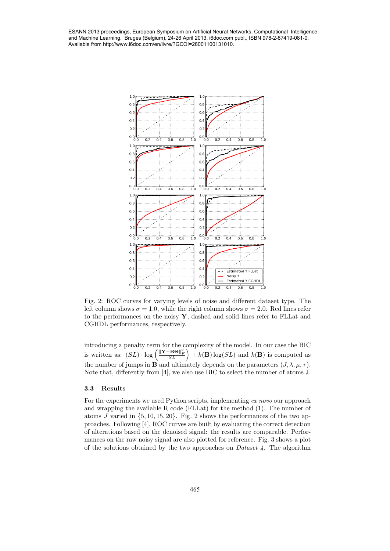and Machine Learning. Bruges (Belgium), 24-26 April 2013, i6doc.com publ., ISBN 978-2-87419-081-0. Available from http://www.i6doc.com/en/livre/?GCOI=28001100131010.



Fig. 2: ROC curves for varying levels of noise and different dataset type. The left column shows  $\sigma = 1.0$ , while the right column shows  $\sigma = 2.0$ . Red lines refer to the performances on the noisy Y, dashed and solid lines refer to FLLat and CGHDL performances, respectively.

introducing a penalty term for the complexity of the model. In our case the BIC is written as:  $(SL) \cdot \log \left( \frac{\|\mathbf{Y} - \mathbf{B}\mathbf{\Theta}\|_F^2}{SL} \right) + k(\mathbf{B}) \log(SL)$  and  $k(\mathbf{B})$  is computed as the number of jumps in  $\vec{B}$  and ultimately depends on the parameters  $(J, \lambda, \mu, \tau)$ . Note that, differently from [4], we also use BIC to select the number of atoms J.

## 3.3 Results

For the experiments we used Python scripts, implementing ex novo our approach and wrapping the available R code (FLLat) for the method  $(1)$ . The number of atoms J varied in  $\{5, 10, 15, 20\}$ . Fig. 2 shows the performances of the two approaches. Following [4], ROC curves are built by evaluating the correct detection of alterations based on the denoised signal: the results are comparable. Performances on the raw noisy signal are also plotted for reference. Fig. 3 shows a plot of the solutions obtained by the two approaches on *Dataset 4*. The algorithm